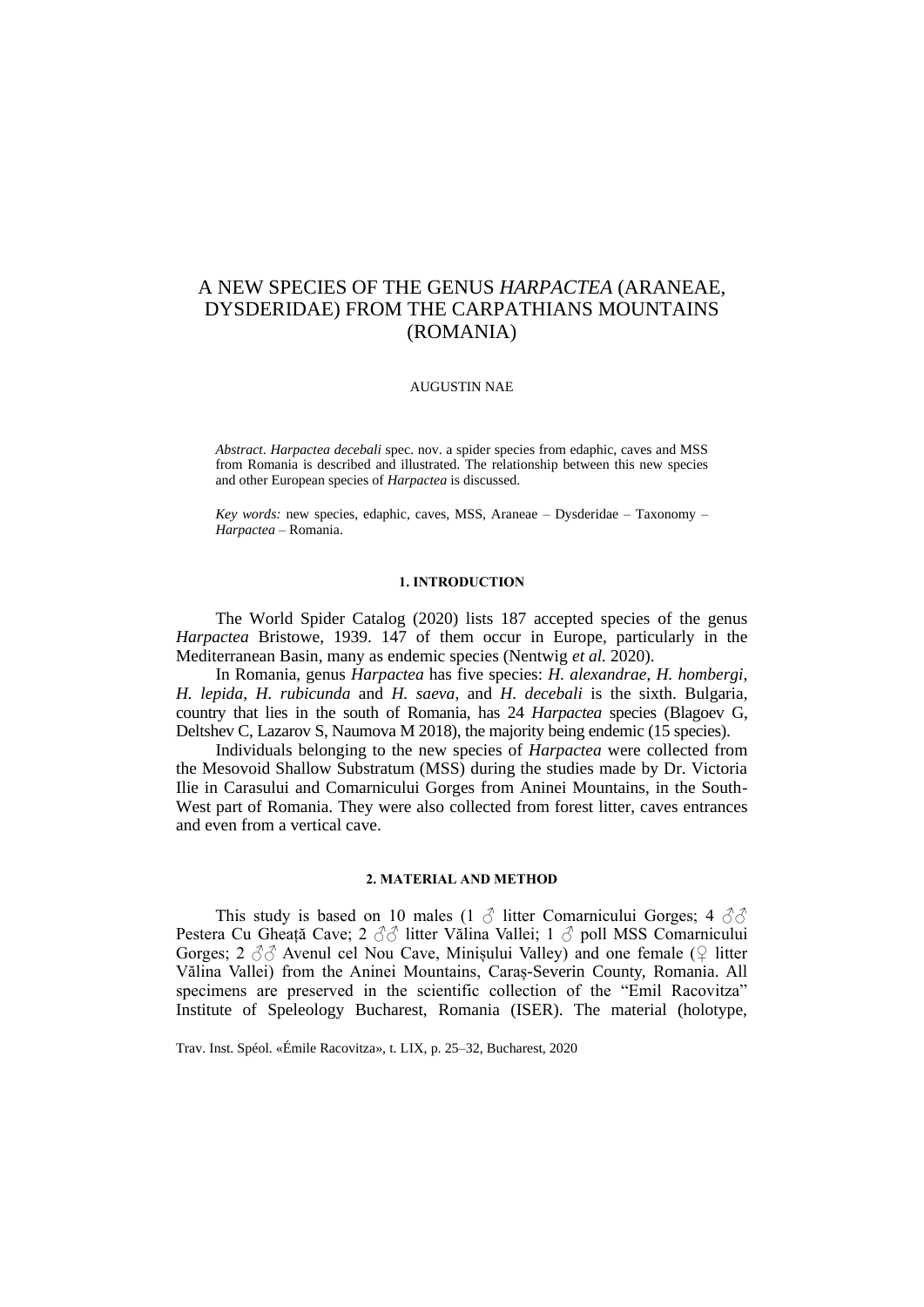# A NEW SPECIES OF THE GENUS *HARPACTEA* (ARANEAE, DYSDERIDAE) FROM THE CARPATHIANS MOUNTAINS (ROMANIA)

# AUGUSTIN NAE

*Abstract*. *Harpactea decebali* spec. nov. a spider species from edaphic, caves and MSS from Romania is described and illustrated. The relationship between this new species and other European species of *Harpactea* is discussed.

*Key words:* new species, edaphic, caves, MSS, Araneae – Dysderidae – Taxonomy – *Harpactea –* Romania.

## **1. INTRODUCTION**

The World Spider Catalog (2020) lists 187 accepted species of the genus *Harpactea* Bristowe, 1939. 147 of them occur in Europe, particularly in the Mediterranean Basin, many as endemic species (Nentwig *et al.* 2020).

In Romania, genus *Harpactea* has five species: *H. alexandrae*, *H. hombergi*, *H. lepida*, *H. rubicunda* and *H. saeva*, and *H. decebali* is the sixth. Bulgaria, country that lies in the south of Romania, has 24 *Harpactea* species (Blagoev G, Deltshev C, Lazarov S, Naumova M 2018), the majority being endemic (15 species).

Individuals belonging to the new species of *Harpactea* were collected from the Mesovoid Shallow Substratum (MSS) during the studies made by Dr. Victoria Ilie in Carasului and Comarnicului Gorges from Aninei Mountains, in the South-West part of Romania. They were also collected from forest litter, caves entrances and even from a vertical cave.

# **2. MATERIAL AND METHOD**

This study is based on 10 males (1  $\delta$  litter Comarnicului Gorges; 4  $\delta\delta$ Pestera Cu Gheață Cave; 2 3 d litter Vălina Vallei; 1 d poll MSS Comarnicului Gorges; 2  $\partial \partial$  Avenul cel Nou Cave, Minișului Valley) and one female ( $\Omega$  litter Vălina Vallei) from the Aninei Mountains, Caraș-Severin County, Romania. All specimens are preserved in the scientific collection of the "Emil Racovitza" Institute of Speleology Bucharest, Romania (ISER). The material (holotype,

Trav. Inst. Spéol. «Émile Racovitza», t. LIX, p. 25–32, Bucharest, 2020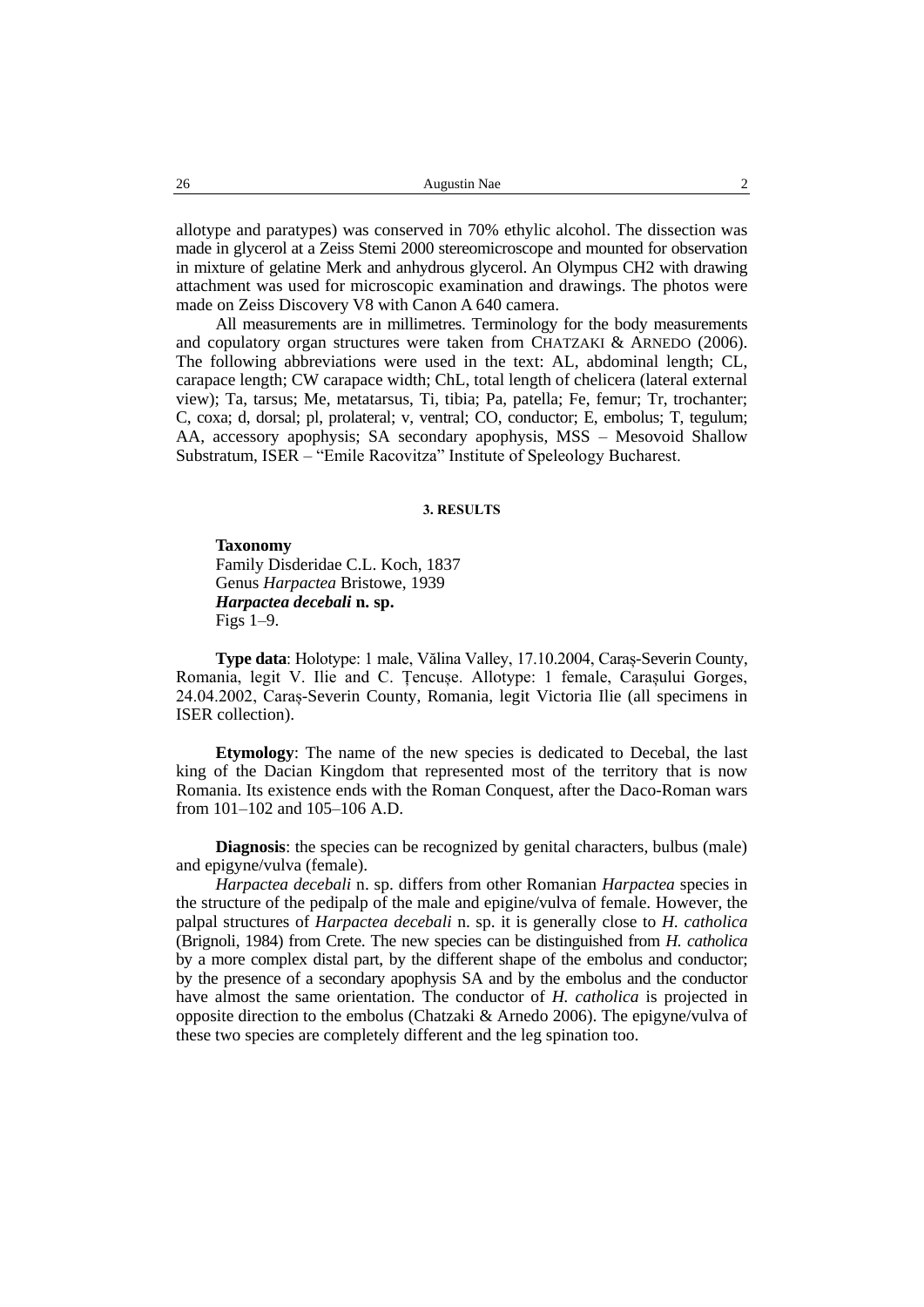allotype and paratypes) was conserved in 70% ethylic alcohol. The dissection was made in glycerol at a Zeiss Stemi 2000 stereomicroscope and mounted for observation in mixture of gelatine Merk and anhydrous glycerol. An Olympus CH2 with drawing attachment was used for microscopic examination and drawings. The photos were made on Zeiss Discovery V8 with Canon A 640 camera.

All measurements are in millimetres. Terminology for the body measurements and copulatory organ structures were taken from CHATZAKI & ARNEDO (2006). The following abbreviations were used in the text: AL, abdominal length; CL, carapace length; CW carapace width; ChL, total length of chelicera (lateral external view); Ta, tarsus; Me, metatarsus, Ti, tibia; Pa, patella; Fe, femur; Tr, trochanter; C, coxa; d, dorsal; pl, prolateral; v, ventral; CO, conductor; E, embolus; T, tegulum; AA, accessory apophysis; SA secondary apophysis, MSS – Mesovoid Shallow Substratum, ISER – "Emile Racovitza" Institute of Speleology Bucharest.

## **3. RESULTS**

# **Taxonomy**

Family Disderidae C.L. Koch, 1837 Genus *Harpactea* Bristowe, 1939 *Harpactea decebali* **n. sp.** Figs 1–9.

**Type data**: Holotype: 1 male, Vălina Valley, 17.10.2004, Caraș-Severin County, Romania, legit V. Ilie and C. Țencușe. Allotype: 1 female, Carașului Gorges, 24.04.2002, Caraș-Severin County, Romania, legit Victoria Ilie (all specimens in ISER collection).

**Etymology**: The name of the new species is dedicated to Decebal, the last king of the Dacian Kingdom that represented most of the territory that is now Romania. Its existence ends with the Roman Conquest, after the Daco-Roman wars from 101–102 and 105–106 A.D.

**Diagnosis**: the species can be recognized by genital characters, bulbus (male) and epigyne/vulva (female).

*Harpactea decebali* n. sp. differs from other Romanian *Harpactea* species in the structure of the pedipalp of the male and epigine/vulva of female. However, the palpal structures of *Harpactea decebali* n. sp. it is generally close to *H. catholica* (Brignoli, 1984) from Crete. The new species can be distinguished from *H. catholica* by a more complex distal part, by the different shape of the embolus and conductor; by the presence of a secondary apophysis SA and by the embolus and the conductor have almost the same orientation. The conductor of *H. catholica* is projected in opposite direction to the embolus (Chatzaki & Arnedo 2006). The epigyne/vulva of these two species are completely different and the leg spination too.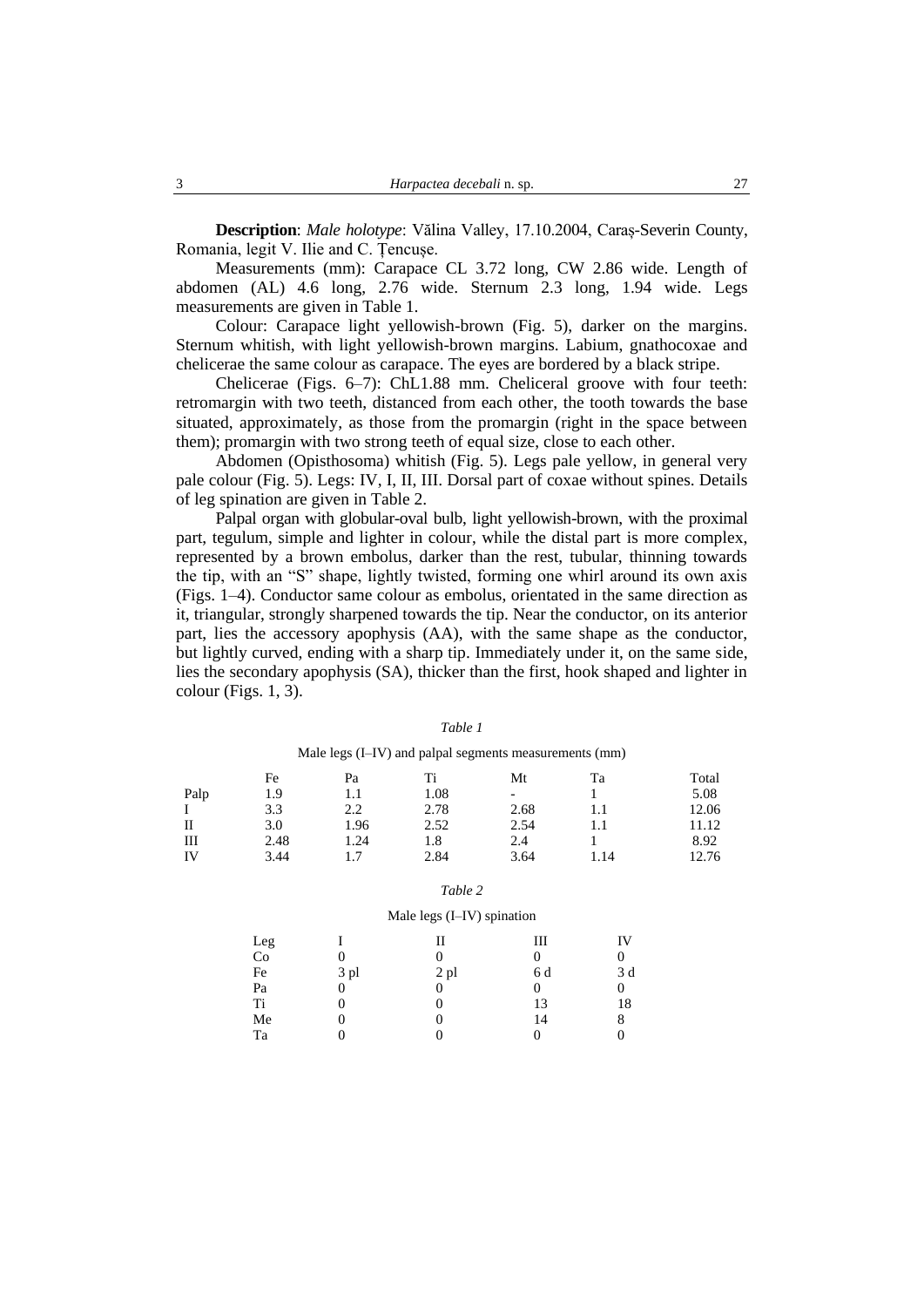**Description**: *Male holotype*: Vălina Valley, 17.10.2004, Caraș-Severin County, Romania, legit V. Ilie and C. Țencușe.

Measurements (mm): Carapace CL 3.72 long, CW 2.86 wide. Length of abdomen (AL) 4.6 long, 2.76 wide. Sternum 2.3 long, 1.94 wide. Legs measurements are given in Table 1.

Colour: Carapace light yellowish-brown (Fig. 5), darker on the margins. Sternum whitish, with light yellowish-brown margins. Labium, gnathocoxae and chelicerae the same colour as carapace. The eyes are bordered by a black stripe.

Chelicerae (Figs. 6–7): ChL1.88 mm. Cheliceral groove with four teeth: retromargin with two teeth, distanced from each other, the tooth towards the base situated, approximately, as those from the promargin (right in the space between them); promargin with two strong teeth of equal size, close to each other.

Abdomen (Opisthosoma) whitish (Fig. 5). Legs pale yellow, in general very pale colour (Fig. 5). Legs: IV, I, II, III. Dorsal part of coxae without spines. Details of leg spination are given in Table 2.

Palpal organ with globular-oval bulb, light yellowish-brown, with the proximal part, tegulum, simple and lighter in colour, while the distal part is more complex, represented by a brown embolus, darker than the rest, tubular, thinning towards the tip, with an "S" shape, lightly twisted, forming one whirl around its own axis (Figs. 1–4). Conductor same colour as embolus, orientated in the same direction as it, triangular, strongly sharpened towards the tip. Near the conductor, on its anterior part, lies the accessory apophysis (AA), with the same shape as the conductor, but lightly curved, ending with a sharp tip. Immediately under it, on the same side, lies the secondary apophysis (SA), thicker than the first, hook shaped and lighter in colour (Figs. 1, 3).

|      |      |      |      | Male legs (I-IV) and palpal segments measurements (mm) |      |       |
|------|------|------|------|--------------------------------------------------------|------|-------|
|      | Fe   | Pa   | Ti   | Mt                                                     | Ta   | Total |
| Palp | 1.9  |      | 1.08 |                                                        |      | 5.08  |
|      | 3.3  | 2.2  | 2.78 | 2.68                                                   | 1.1  | 12.06 |
| H    | 3.0  | 1.96 | 2.52 | 2.54                                                   | 1.1  | 11.12 |
| Ш    | 2.48 | 1.24 | 1.8  | 2.4                                                    |      | 8.92  |
| IV   | 3.44 |      | 2.84 | 3.64                                                   | 1.14 | 12.76 |

*Table 1*

|        | Table 2                    |        |        |        |  |  |
|--------|----------------------------|--------|--------|--------|--|--|
|        | Male legs (I-IV) spination |        |        |        |  |  |
| Leg    |                            |        | Ш      | ΓV     |  |  |
| $\sim$ | $\sim$                     | $\sim$ | $\sim$ | $\sim$ |  |  |

| Leg |      | п      | ш   | 1 V |
|-----|------|--------|-----|-----|
| Co  |      |        | 0   | 0   |
| Fe  | 3 pl | $2$ pl | 6 d | 3d  |
| Pa  |      |        | 0   | 0   |
| Ti  |      |        | 13  | 18  |
| Me  |      |        | 14  | 8   |
| Ta  |      |        |     |     |
|     |      |        |     |     |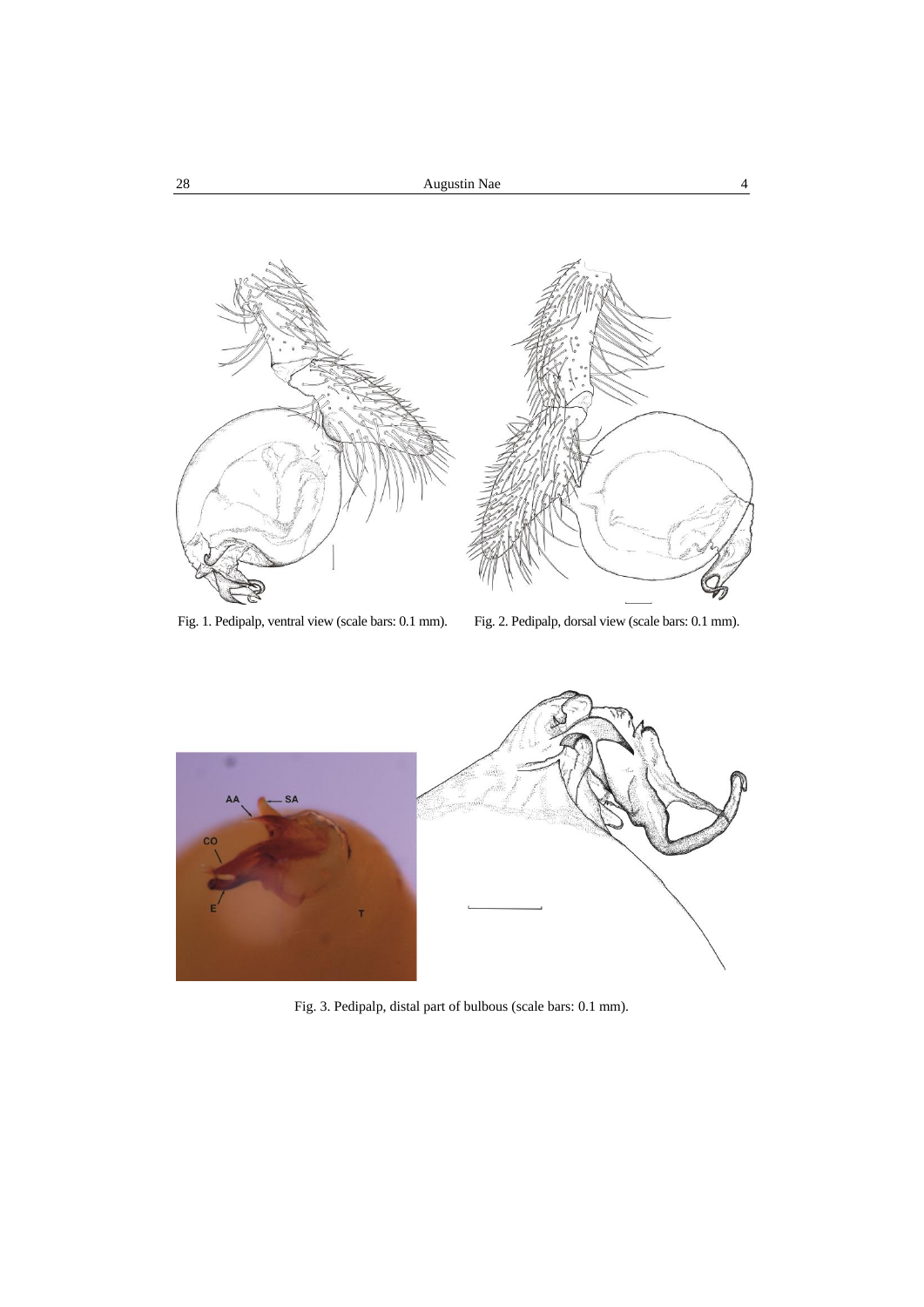



Fig. 3. Pedipalp, distal part of bulbous (scale bars: 0.1 mm).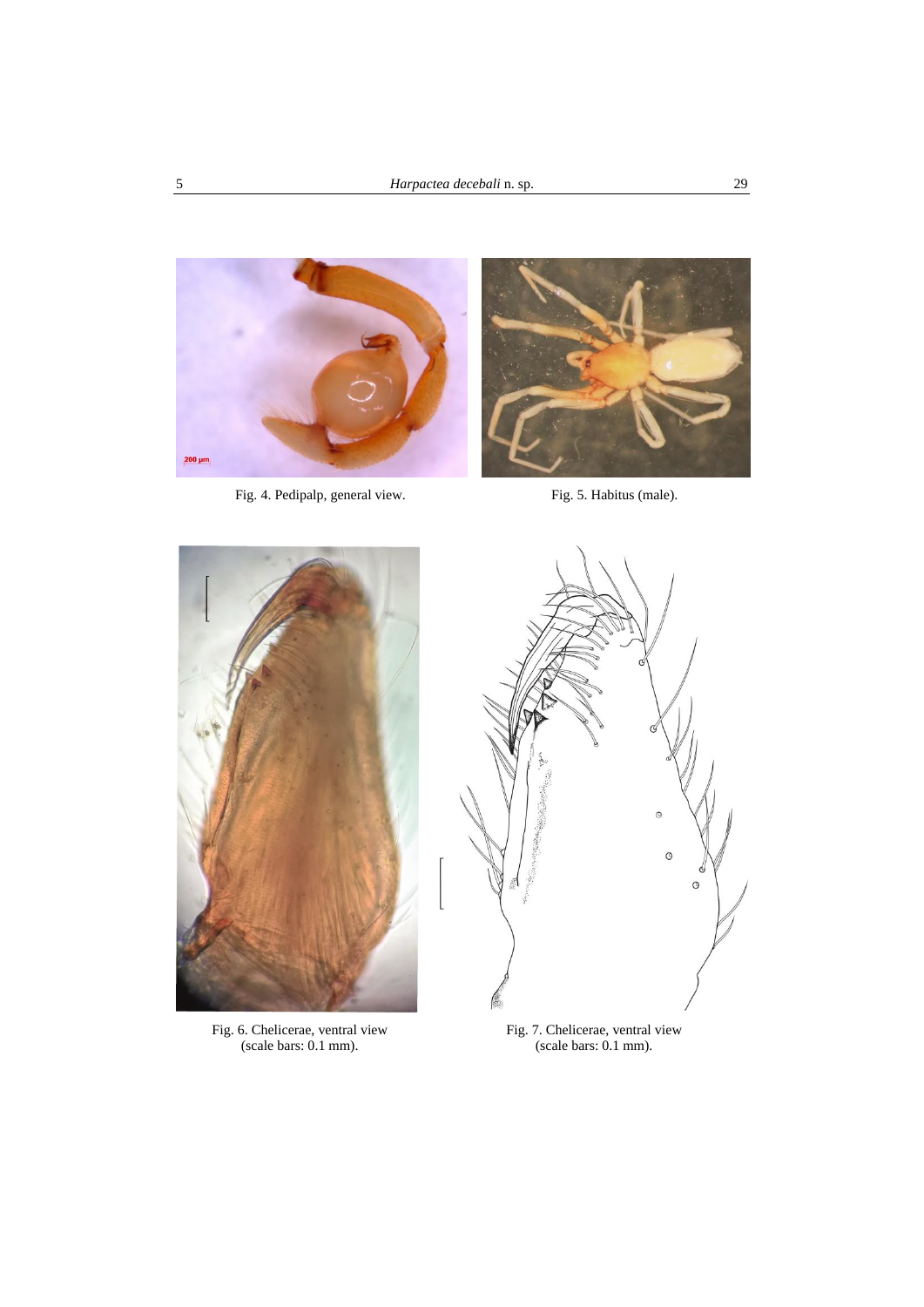

Fig. 4. Pedipalp, general view. Fig. 5. Habitus (male).





Fig. 6. Chelicerae, ventral view (scale bars: 0.1 mm).



Fig. 7. Chelicerae, ventral view (scale bars: 0.1 mm).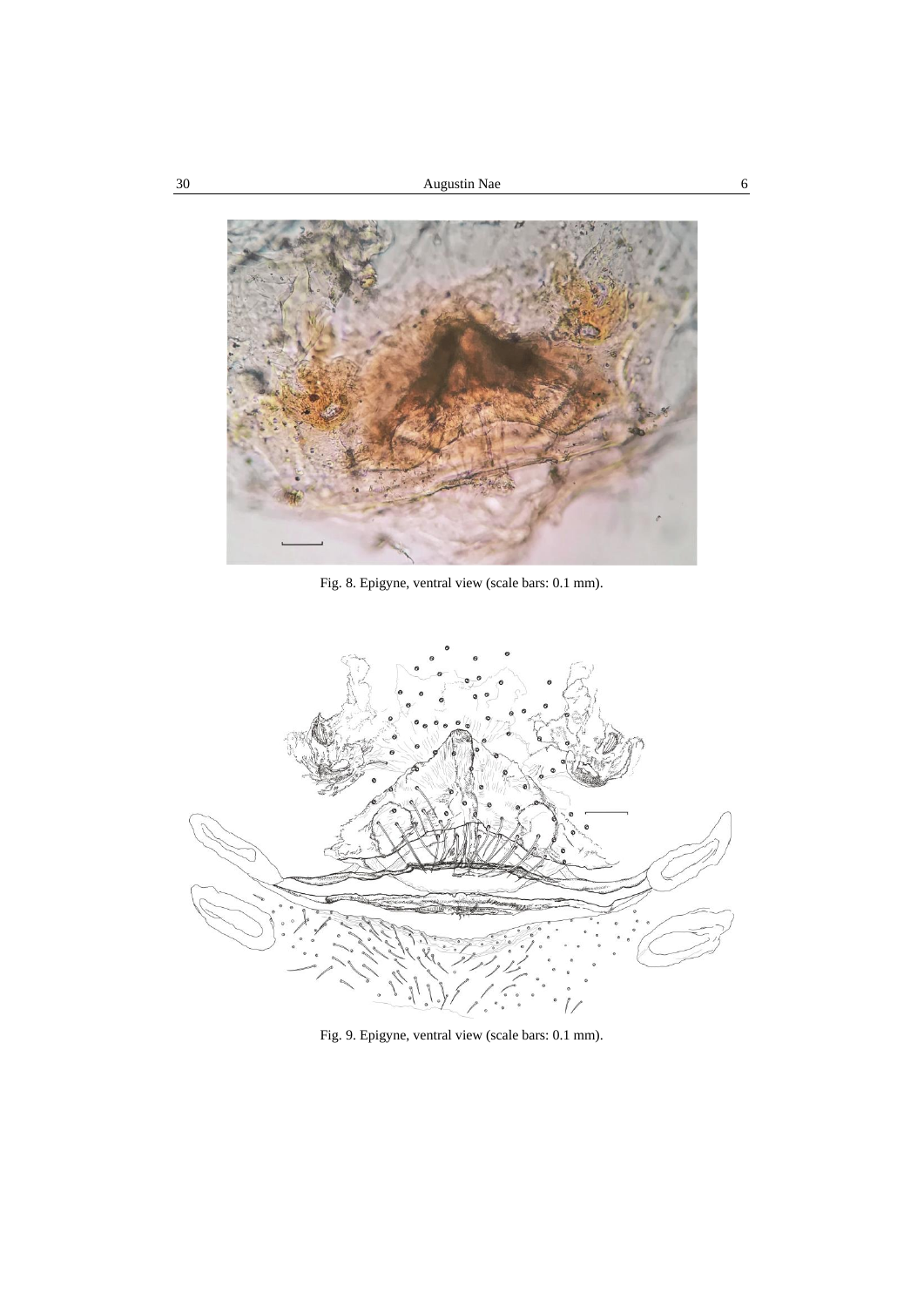

Fig. 8. Epigyne, ventral view (scale bars: 0.1 mm).



Fig. 9. Epigyne, ventral view (scale bars: 0.1 mm).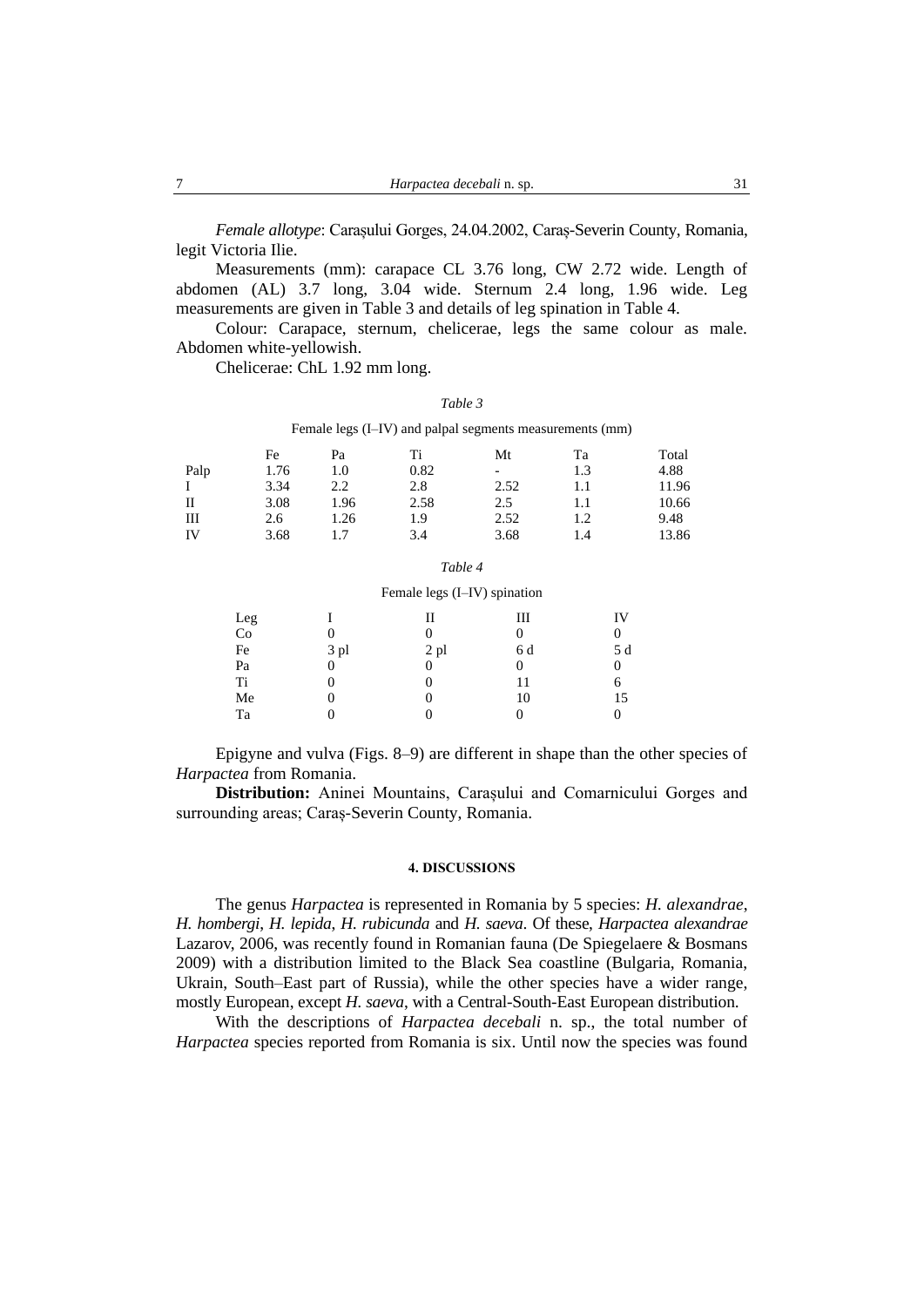*Female allotype*: Carașului Gorges, 24.04.2002, Caraș-Severin County, Romania, legit Victoria Ilie.

Measurements (mm): carapace CL 3.76 long, CW 2.72 wide. Length of abdomen (AL) 3.7 long, 3.04 wide. Sternum 2.4 long, 1.96 wide. Leg measurements are given in Table 3 and details of leg spination in Table 4.

Colour: Carapace, sternum, chelicerae, legs the same colour as male. Abdomen white-yellowish.

Chelicerae: ChL 1.92 mm long.

#### *Table 3*

Female legs (I–IV) and palpal segments measurements (mm)

|      | Fe   | Pa   | Ti   | Mt   | Ta  | Total |
|------|------|------|------|------|-----|-------|
| Palp | 1.76 | 1.0  | 0.82 | -    | 1.3 | 4.88  |
| I    | 3.34 | 2.2  | 2.8  | 2.52 |     | 11.96 |
| П    | 3.08 | 1.96 | 2.58 | 2.5  |     | 10.66 |
| Ш    | 2.6  | 1.26 | 1.9  | 2.52 | 1.2 | 9.48  |
| IV   | 3.68 |      | 3.4  | 3.68 | 1.4 | 13.86 |

### *Table 4*

#### Female legs (I–IV) spination

| Leg<br>Co |      | Н    | Ш   | IV  |
|-----------|------|------|-----|-----|
|           |      | 0    |     | 0   |
| Fe        | 3 pl | 2 pl | 6 d | 5 d |
| Pa        |      | 0    |     | 0   |
| Ti        |      | 0    | 11  | 6   |
| Me        |      | 0    | 10  | 15  |
| Ta        |      |      |     |     |

Epigyne and vulva (Figs. 8–9) are different in shape than the other species of *Harpactea* from Romania.

**Distribution:** Aninei Mountains, Carașului and Comarnicului Gorges and surrounding areas; Caraș-Severin County, Romania.

# **4. DISCUSSIONS**

The genus *Harpactea* is represented in Romania by 5 species: *H. alexandrae*, *H. hombergi*, *H. lepida*, *H. rubicunda* and *H. saeva*. Of these, *Harpactea alexandrae* Lazarov, 2006, was recently found in Romanian fauna (De Spiegelaere & Bosmans 2009) with a distribution limited to the Black Sea coastline (Bulgaria, Romania, Ukrain, South–East part of Russia), while the other species have a wider range, mostly European, except *H. saeva*, with a Central-South-East European distribution.

With the descriptions of *Harpactea decebali* n. sp., the total number of *Harpactea* species reported from Romania is six. Until now the species was found